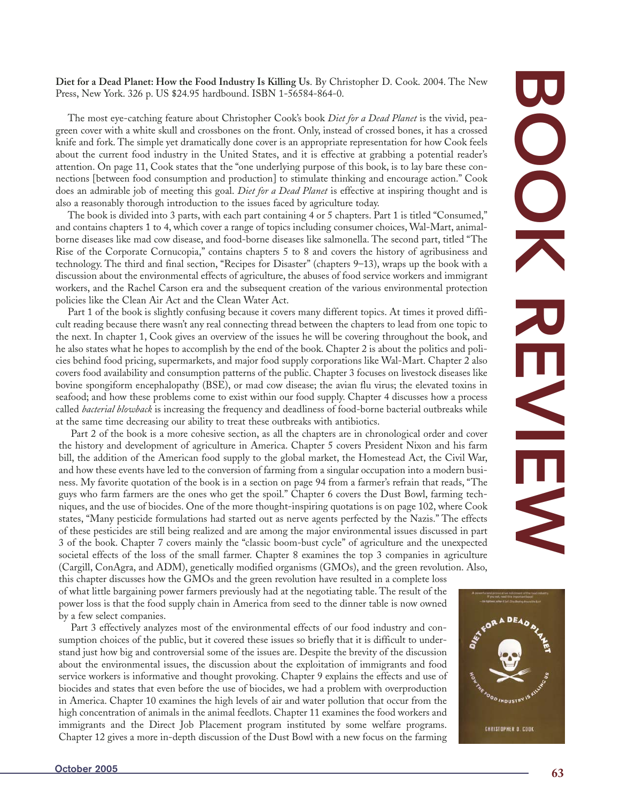nections [between food consumption and production] to stimulate thinking and encourage action." Cook does an admirable job of meeting this goal. *Diet for a Dead Planet* is effective at inspiring thought and is

Press, New York. 326 p. US \$24.95 hardbound. ISBN 1-56584-864-0.

also a reasonably thorough introduction to the issues faced by agriculture today. The book is divided into 3 parts, with each part containing 4 or 5 chapters. Part 1 is titled "Consumed," and contains chapters 1 to 4, which cover a range of topics including consumer choices, Wal-Mart, animalborne diseases like mad cow disease, and food-borne diseases like salmonella. The second part, titled "The Rise of the Corporate Cornucopia," contains chapters 5 to 8 and covers the history of agribusiness and technology. The third and final section, "Recipes for Disaster" (chapters 9–13), wraps up the book with a discussion about the environmental effects of agriculture, the abuses of food service workers and immigrant workers, and the Rachel Carson era and the subsequent creation of the various environmental protection policies like the Clean Air Act and the Clean Water Act.

**Diet for a Dead Planet: How the Food Industry Is Killing Us** . By Christopher D. Cook. 2004. The New

The most eye-catching feature about Christopher Cook's book *Diet for a Dead Planet* is the vivid, peagreen cover with a white skull and crossbones on the front. Only, instead of crossed bones, it has a crossed knife and fork. The simple yet dramatically done cover is an appropriate representation for how Cook feels about the current food industry in the United States, and it is effective at grabbing a potential reader's attention. On page 11, Cook states that the "one underlying purpose of this book, is to lay bare these con-

Part 1 of the book is slightly confusing because it covers many different topics. At times it proved difficult reading because there wasn't any real connecting thread between the chapters to lead from one topic to the next. In chapter 1, Cook gives an overview of the issues he will be covering throughout the book, and he also states what he hopes to accomplish by the end of the book. Chapter 2 is about the politics and policies behind food pricing, supermarkets, and major food supply corporations like Wal-Mart. Chapter 2 also covers food availability and consumption patterns of the public. Chapter 3 focuses on livestock diseases like bovine spongiform encephalopathy (BSE), or mad cow disease; the avian flu virus; the elevated toxins in seafood; and how these problems come to exist within our food supply. Chapter 4 discusses how a process called *bacterial blowback* is increasing the frequency and deadliness of food-borne bacterial outbreaks while at the same time decreasing our ability to treat these outbreaks with antibiotics.

Part 2 of the book is a more cohesive section, as all the chapters are in chronological order and cover the history and development of agriculture in America. Chapter 5 covers President Nixon and his farm bill, the addition of the American food supply to the global market, the Homestead Act, the Civil War, and how these events have led to the conversion of farming from a singular occupation into a modern business. My favorite quotation of the book is in a section on page 94 from a farmer's refrain that reads, "The guys who farm farmers are the ones who get the spoil." Chapter 6 covers the Dust Bowl, farming techniques, and the use of biocides. One of the more thought-inspiring quotations is on page 102, where Cook states, "Many pesticide formulations had started out as nerve agents perfected by the Nazis." The effects of these pesticides are still being realized and are among the major environmental issues discussed in part 3 of the book. Chapter 7 covers mainly the "classic boom-bust cycle" of agriculture and the unexpected societal effects of the loss of the small farmer. Chapter 8 examines the top 3 companies in agriculture (Cargill, ConAgra, and ADM), genetically modified organisms (GMOs), and the green revolution. Also,

this chapter discusses how the GMOs and the green revolution have resulted in a complete loss of what little bargaining power farmers previously had at the negotiating table. The result of the power loss is that the food supply chain in America from seed to the dinner table is now owned by a few select companies.

Part 3 effectively analyzes most of the environmental effects of our food industry and consumption choices of the public, but it covered these issues so briefly that it is difficult to understand just how big and controversial some of the issues are. Despite the brevity of the discussion about the environmental issues, the discussion about the exploitation of immigrants and food service workers is informative and thought provoking. Chapter 9 explains the effects and use of biocides and states that even before the use of biocides, we had a problem with overproduction in America. Chapter 10 examines the high levels of air and water pollution that occur from the high concentration of animals in the animal feedlots. Chapter 11 examines the food workers and immigrants and the Direct Job Placement program instituted by some welfare programs. Chapter 12 gives a more in-depth discussion of the Dust Bowl with a new focus on the farming